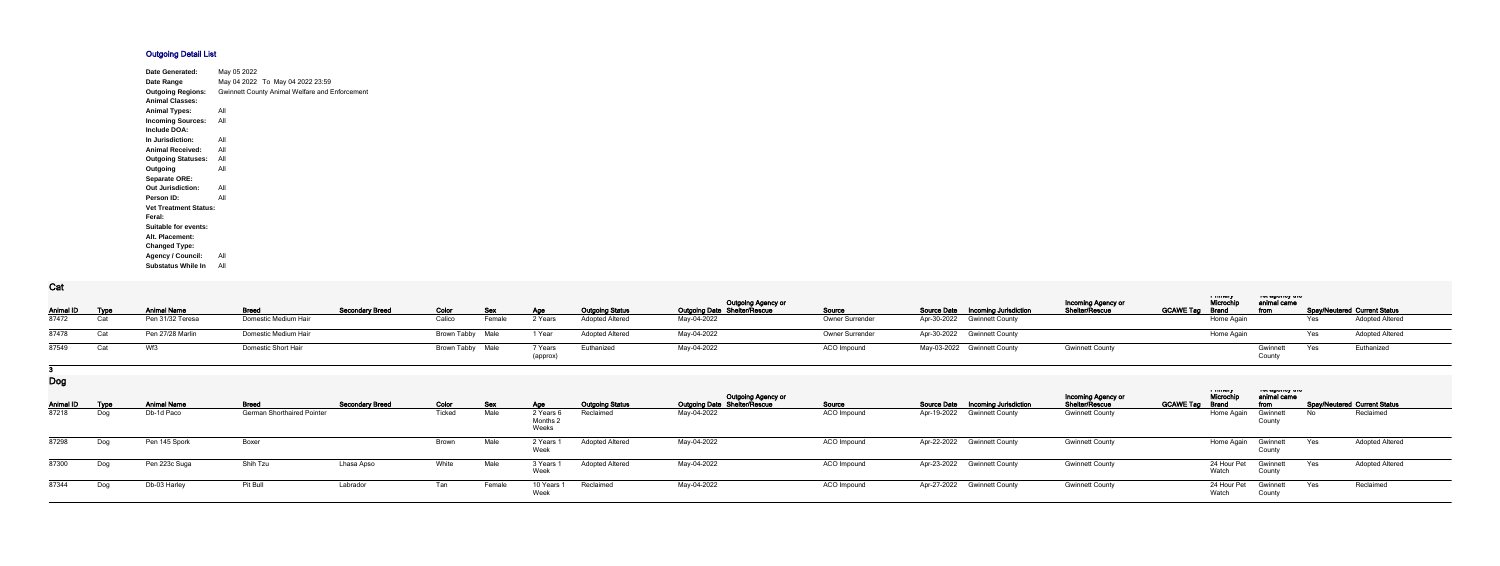## **Outgoing Detail List**

| Date Generated:              | May 05 2022 |                                                       |
|------------------------------|-------------|-------------------------------------------------------|
| Date Range                   |             | May 04 2022 To May 04 2022 23:59                      |
| <b>Outgoing Regions:</b>     |             | <b>Gwinnett County Animal Welfare and Enforcement</b> |
| <b>Animal Classes:</b>       |             |                                                       |
| <b>Animal Types:</b>         | All         |                                                       |
| <b>Incoming Sources:</b>     | All         |                                                       |
| Include DOA:                 |             |                                                       |
| In Jurisdiction:             | All         |                                                       |
| <b>Animal Received:</b>      | All         |                                                       |
| <b>Outgoing Statuses:</b>    | All         |                                                       |
| Outgoing                     | All         |                                                       |
| <b>Separate ORE:</b>         |             |                                                       |
| <b>Out Jurisdiction:</b>     | All         |                                                       |
| Person ID:                   | All         |                                                       |
| <b>Vet Treatment Status:</b> |             |                                                       |
| Feral:                       |             |                                                       |
| Suitable for events:         |             |                                                       |
| Alt. Placement:              |             |                                                       |
| <b>Changed Type:</b>         |             |                                                       |
| <b>Agency / Council:</b>     | All         |                                                       |
| <b>Substatus While In</b>    | All         |                                                       |

**Cat**

| val<br>Animal ID Type | <b>Animal Name</b> | <b>Breed</b>         | <b>Secondary Breed</b> | Color            | Sex    | Age                 | <b>Outgoing Status</b> | <b>Outgoing Agency or</b><br><b>Outgoing Date Shelter/Rescue</b> | <b>Source</b>          | <b>Source Date Incoming Jurisdiction</b> | Incoming Agency or<br>Shelter/Rescue | <b>TERRIT AT LIBRARY</b><br>Microchi<br><b>GCAWE Tag Brand</b> | ו טג טאַט וויט ווי<br>animal came<br>from |            | <b>Spay/Neutered Current Status</b> |
|-----------------------|--------------------|----------------------|------------------------|------------------|--------|---------------------|------------------------|------------------------------------------------------------------|------------------------|------------------------------------------|--------------------------------------|----------------------------------------------------------------|-------------------------------------------|------------|-------------------------------------|
| 87472                 | Pen 31/32 Teresa   | Domestic Medium Hair |                        | Calico           | Female | 2 Years             | <b>Adopted Altered</b> | May-04-2022                                                      | <b>Owner Surrender</b> | Apr-30-2022 Gwinnett County              |                                      | Home Again                                                     |                                           | Yes        | <b>Adopted Altered</b>              |
| 87478                 | Pen 27/28 Marlin   | Domestic Medium Hair |                        | Brown Tabby Male |        | 1 Year              | <b>Adopted Altered</b> | May-04-2022                                                      | <b>Owner Surrender</b> | Apr-30-2022 Gwinnett County              |                                      | Home Again                                                     |                                           | <b>Yes</b> | <b>Adopted Altered</b>              |
| 87549                 | Wf3                | Domestic Short Hair  |                        | Brown Tabby Male |        | 7 Years<br>(approx) | Euthanized             | May-04-2022                                                      | ACO Impound            | May-03-2022 Gwinnett County              | <b>Gwinnett County</b>               |                                                                | Gwinnett<br>County                        | Yes        | Euthanized                          |

**3**

**Dog**

|                  |             |                    |                                   |                        |        |        |                            |                        | <b>Outgoing Agency or</b>           |                    |                             |                                          | <b>Incoming Agency or</b> |                  | a music<br>Microchi  | ו סו טשטווטץ גווט<br>animal came |     |                                     |
|------------------|-------------|--------------------|-----------------------------------|------------------------|--------|--------|----------------------------|------------------------|-------------------------------------|--------------------|-----------------------------|------------------------------------------|---------------------------|------------------|----------------------|----------------------------------|-----|-------------------------------------|
| <b>Animal ID</b> | <b>Type</b> | <b>Animal Name</b> | <b>Breed</b>                      | <b>Secondary Breed</b> | Color  | -Se)   | Aae                        | <b>Outgoing Status</b> | <b>Outgoing Date Shelter/Rescue</b> | Source             |                             | <b>Source Date Incoming Jurisdiction</b> | <b>Shelter/Rescue</b>     | <b>GCAWE Tag</b> | Brand                | from                             |     | <b>Spay/Neutered Current Status</b> |
| 87218            | Dog         | Db-1d Paco         | <b>German Shorthaired Pointer</b> |                        | Ticked | Male   | 2 Years<br>Months<br>Weeks | Reclaimed              | May-04-2022                         | ACO Impound        | Apr-19-2022 Gwinnett County |                                          | <b>Gwinnett County</b>    |                  | Home Again           | Gwinnett<br>County               | No  | Reclaimed                           |
| 87298            | Dog         | Pen 145 Spork      | Boxer                             |                        | Brown  | Male   | 2 Years<br>Week            | <b>Adopted Altered</b> | May-04-2022                         | ACO Impound        | Apr-22-2022 Gwinnett County |                                          | <b>Gwinnett County</b>    |                  | Home Again           | Gwinnett<br>County               | Yes | <b>Adopted Altered</b>              |
| 87300            | Dog         | Pen 223c Suga      | Shih Tzu                          | Lhasa Apso             | White  | Male   | 3 Years<br>Week            | <b>Adopted Altered</b> | May-04-2022                         | ACO Impound        | Apr-23-2022 Gwinnett County |                                          | <b>Gwinnett County</b>    |                  | 24 Hour Pet<br>Watch | Gwinnett<br>County               | Yes | <b>Adopted Altered</b>              |
| 87344            | Dog         | Db-03 Harley       | Pit Bull                          | Labrador               | Tan    | Female | 10 Years 1<br>Week         | Reclaimed              | May-04-2022                         | <b>ACO Impound</b> | Apr-27-2022 Gwinnett County |                                          | <b>Gwinnett County</b>    |                  | 24 Hour Pet<br>Watch | Gwinnett<br>County               | Yes | Reclaimed                           |